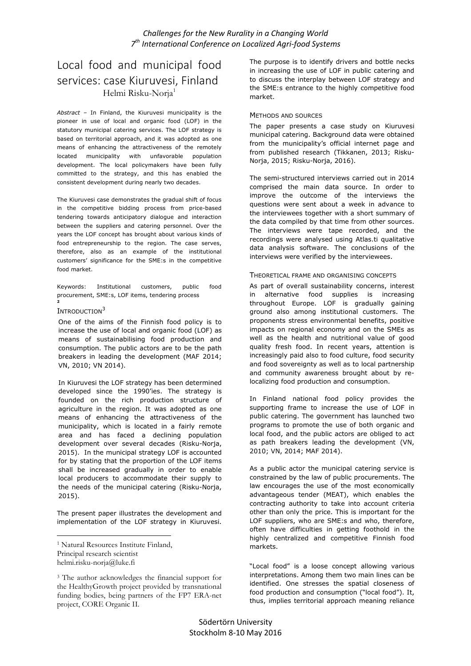# Challenges for the New Rurality in a Changing World 7<sup>th</sup> International Conference on Localized Agri-food Systems

# Local food and municipal food services: case Kiuruvesi, Finland Helmi Risku-Noria<sup>1</sup>

Abstract – In Finland, the Kiuruvesi municipality is the pioneer in use of local and organic food (LOF) in the statutory municipal catering services. The LOF strategy is based on territorial approach, and it was adopted as one means of enhancing the attractiveness of the remotely located municipality with unfavorable population development. The local policymakers have been fully committed to the strategy, and this has enabled the consistent development during nearly two decades.

The Kiuruvesi case demonstrates the gradual shift of focus in the competitive bidding process from price-based tendering towards anticipatory dialogue and interaction between the suppliers and catering personnel. Over the years the LOF concept has brought about various kinds of food entrepreneurship to the region. The case serves, therefore, also as an example of the institutional customers' significance for the SME:s in the competitive food market.

Keywords: Institutional customers, public food procurement, SME:s, LOF items, tendering process 2

#### INTRODUCTION<sup>3</sup>

One of the aims of the Finnish food policy is to increase the use of local and organic food (LOF) as means of sustainabilising food production and consumption. The public actors are to be the path breakers in leading the development (MAF 2014; VN, 2010; VN 2014).

In Kiuruvesi the LOF strategy has been determined developed since the 1990'ies. The strategy is founded on the rich production structure of agriculture in the region. It was adopted as one means of enhancing the attractiveness of the municipality, which is located in a fairly remote area and has faced a declining population development over several decades (Risku-Norja, 2015). In the municipal strategy LOF is accounted for by stating that the proportion of the LOF items shall be increased gradually in order to enable local producers to accommodate their supply to the needs of the municipal catering (Risku-Norja, 2015).

The present paper illustrates the development and implementation of the LOF strategy in Kiuruvesi.

 $\overline{a}$ 

The purpose is to identify drivers and bottle necks in increasing the use of LOF in public catering and to discuss the interplay between LOF strategy and the SME:s entrance to the highly competitive food market.

#### METHODS AND SOURCES

The paper presents a case study on Kiuruvesi municipal catering. Background data were obtained from the municipality's official internet page and from published research (Tikkanen, 2013; Risku-Norja, 2015; Risku-Norja, 2016).

The semi-structured interviews carried out in 2014 comprised the main data source. In order to improve the outcome of the interviews the questions were sent about a week in advance to the interviewees together with a short summary of the data compiled by that time from other sources. The interviews were tape recorded, and the recordings were analysed using Atlas.ti qualitative data analysis software. The conclusions of the interviews were verified by the interviewees.

#### THEORETICAL FRAME AND ORGANISING CONCEPTS

As part of overall sustainability concerns, interest in alternative food supplies is increasing throughout Europe. LOF is gradually gaining ground also among institutional customers. The proponents stress environmental benefits, positive impacts on regional economy and on the SMEs as well as the health and nutritional value of good quality fresh food. In recent years, attention is increasingly paid also to food culture, food security and food sovereignty as well as to local partnership and community awareness brought about by relocalizing food production and consumption.

In Finland national food policy provides the supporting frame to increase the use of LOF in public catering. The government has launched two programs to promote the use of both organic and local food, and the public actors are obliged to act as path breakers leading the development (VN, 2010; VN, 2014; MAF 2014).

As a public actor the municipal catering service is constrained by the law of public procurements. The law encourages the use of the most economically advantageous tender (MEAT), which enables the contracting authority to take into account criteria other than only the price. This is important for the LOF suppliers, who are SME:s and who, therefore, often have difficulties in getting foothold in the highly centralized and competitive Finnish food markets.

"Local food" is a loose concept allowing various interpretations. Among them two main lines can be identified. One stresses the spatial closeness of food production and consumption ("local food"). It, thus, implies territorial approach meaning reliance

<sup>1</sup> Natural Resources Institute Finland, Principal research scientist helmi.risku-norja@luke.fi

<sup>3</sup> The author acknowledges the financial support for the HealthyGrowth project provided by transnational funding bodies, being partners of the FP7 ERA-net project, CORE Organic II.